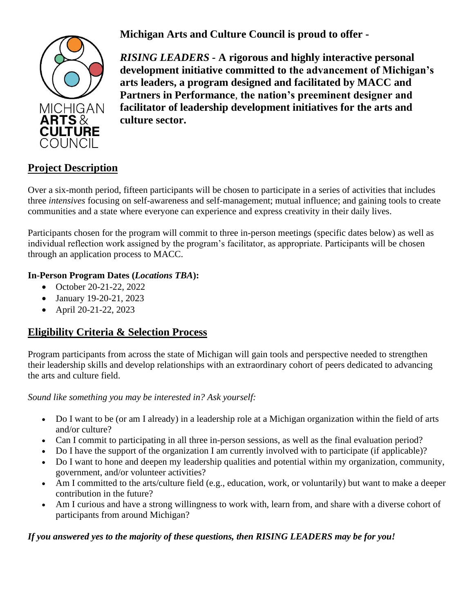**Michigan Arts and Culture Council is proud to offer -**



*RISING LEADERS -* **A rigorous and highly interactive personal development initiative committed to the advancement of Michigan's arts leaders, a program designed and facilitated by MACC and Partners in Performance**, **the nation's preeminent designer and facilitator of leadership development initiatives for the arts and culture sector.**

# **Project Description**

Over a six-month period, fifteen participants will be chosen to participate in a series of activities that includes three *intensives* focusing on self-awareness and self-management; mutual influence; and gaining tools to create communities and a state where everyone can experience and express creativity in their daily lives.

Participants chosen for the program will commit to three in-person meetings (specific dates below) as well as individual reflection work assigned by the program's facilitator, as appropriate. Participants will be chosen through an application process to MACC.

#### **In-Person Program Dates (***Locations TBA***):**

- October 20-21-22, 2022
- January 19-20-21, 2023
- April 20-21-22, 2023

## **Eligibility Criteria & Selection Process**

Program participants from across the state of Michigan will gain tools and perspective needed to strengthen their leadership skills and develop relationships with an extraordinary cohort of peers dedicated to advancing the arts and culture field.

*Sound like something you may be interested in? Ask yourself:* 

- Do I want to be (or am I already) in a leadership role at a Michigan organization within the field of arts and/or culture?
- Can I commit to participating in all three in-person sessions, as well as the final evaluation period?
- Do I have the support of the organization I am currently involved with to participate (if applicable)?
- Do I want to hone and deepen my leadership qualities and potential within my organization, community, government, and/or volunteer activities?
- Am I committed to the arts/culture field (e.g., education, work, or voluntarily) but want to make a deeper contribution in the future?
- Am I curious and have a strong willingness to work with, learn from, and share with a diverse cohort of participants from around Michigan?

*If you answered yes to the majority of these questions, then RISING LEADERS may be for you!*